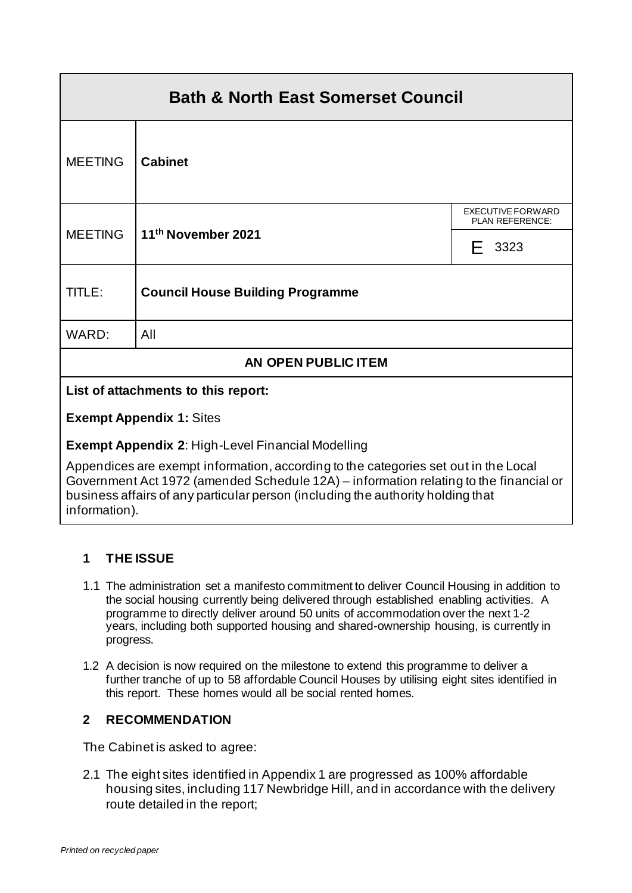| <b>Bath &amp; North East Somerset Council</b>                                       |                                         |                                      |  |
|-------------------------------------------------------------------------------------|-----------------------------------------|--------------------------------------|--|
| <b>MEETING</b>                                                                      | <b>Cabinet</b>                          |                                      |  |
| <b>MEETING</b>                                                                      | 11th November 2021                      | EXECUTIVE FORWARD<br>PLAN REFERENCE: |  |
|                                                                                     |                                         | 3323<br>F.                           |  |
| TITLE:                                                                              | <b>Council House Building Programme</b> |                                      |  |
| WARD:                                                                               | All                                     |                                      |  |
| AN OPEN PUBLIC ITEM                                                                 |                                         |                                      |  |
| List of attachments to this report:                                                 |                                         |                                      |  |
| <b>Exempt Appendix 1: Sites</b>                                                     |                                         |                                      |  |
| <b>Exempt Appendix 2: High-Level Financial Modelling</b>                            |                                         |                                      |  |
| Appendices are exempt information, according to the categories set out in the Local |                                         |                                      |  |

Government Act 1972 (amended Schedule 12A) – information relating to the financial or business affairs of any particular person (including the authority holding that information).

## **1 THE ISSUE**

- 1.1 The administration set a manifesto commitment to deliver Council Housing in addition to the social housing currently being delivered through established enabling activities. A programme to directly deliver around 50 units of accommodation over the next 1-2 years, including both supported housing and shared-ownership housing, is currently in progress.
- 1.2 A decision is now required on the milestone to extend this programme to deliver a further tranche of up to 58 affordable Council Houses by utilising eight sites identified in this report. These homes would all be social rented homes.

### **2 RECOMMENDATION**

The Cabinet is asked to agree:

2.1 The eight sites identified in Appendix 1 are progressed as 100% affordable housing sites, including 117 Newbridge Hill, and in accordance with the delivery route detailed in the report;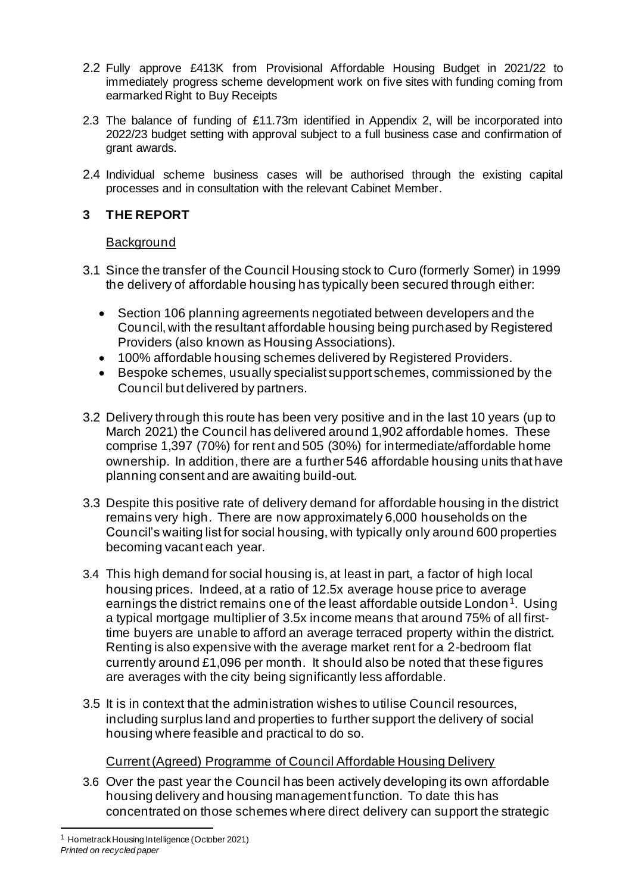- 2.2 Fully approve £413K from Provisional Affordable Housing Budget in 2021/22 to immediately progress scheme development work on five sites with funding coming from earmarked Right to Buy Receipts
- 2.3 The balance of funding of £11.73m identified in Appendix 2, will be incorporated into 2022/23 budget setting with approval subject to a full business case and confirmation of grant awards.
- 2.4 Individual scheme business cases will be authorised through the existing capital processes and in consultation with the relevant Cabinet Member.

## **3 THE REPORT**

#### **Background**

- 3.1 Since the transfer of the Council Housing stock to Curo (formerly Somer) in 1999 the delivery of affordable housing has typically been secured through either:
	- Section 106 planning agreements negotiated between developers and the Council, with the resultant affordable housing being purchased by Registered Providers (also known as Housing Associations).
	- 100% affordable housing schemes delivered by Registered Providers.
	- Bespoke schemes, usually specialist support schemes, commissioned by the Council but delivered by partners.
- 3.2 Delivery through this route has been very positive and in the last 10 years (up to March 2021) the Council has delivered around 1,902 affordable homes. These comprise 1,397 (70%) for rent and 505 (30%) for intermediate/affordable home ownership. In addition, there are a further 546 affordable housing units that have planning consent and are awaiting build-out.
- 3.3 Despite this positive rate of delivery demand for affordable housing in the district remains very high. There are now approximately 6,000 households on the Council's waiting list for social housing, with typically only around 600 properties becoming vacant each year.
- 3.4 This high demand for social housing is, at least in part, a factor of high local housing prices. Indeed, at a ratio of 12.5x average house price to average earnings the district remains one of the least affordable outside London<sup>1</sup>. Using a typical mortgage multiplier of 3.5x income means that around 75% of all firsttime buyers are unable to afford an average terraced property within the district. Renting is also expensive with the average market rent for a 2-bedroom flat currently around £1,096 per month. It should also be noted that these figures are averages with the city being significantly less affordable.
- 3.5 It is in context that the administration wishes to utilise Council resources, including surplus land and properties to further support the delivery of social housing where feasible and practical to do so.

### Current (Agreed) Programme of Council Affordable Housing Delivery

3.6 Over the past year the Council has been actively developing its own affordable housing delivery and housing management function. To date this has concentrated on those schemes where direct delivery can support the strategic

*Printed on recycled paper* <sup>1</sup> Hometrack Housing Intelligence (October 2021)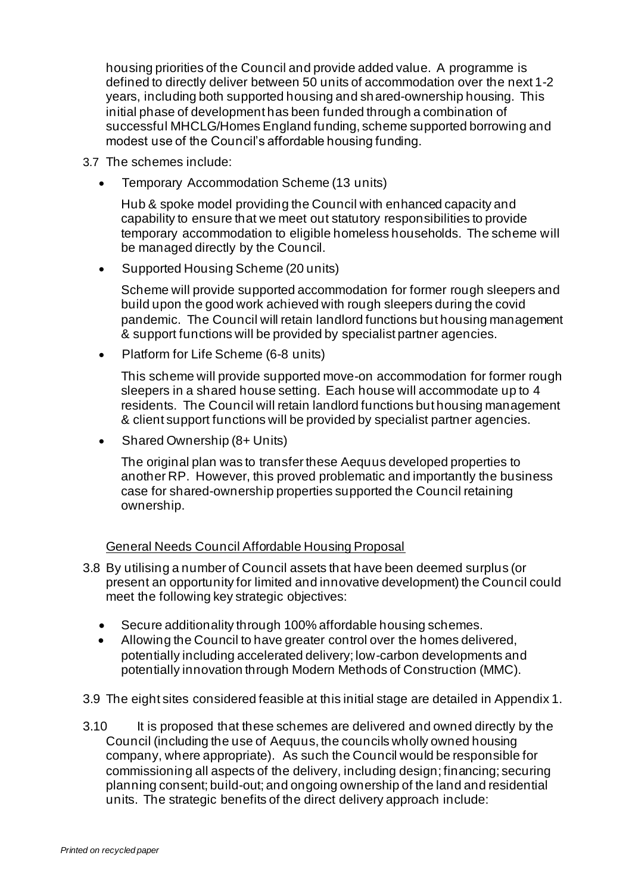housing priorities of the Council and provide added value. A programme is defined to directly deliver between 50 units of accommodation over the next 1-2 years, including both supported housing and shared-ownership housing. This initial phase of development has been funded through a combination of successful MHCLG/Homes England funding, scheme supported borrowing and modest use of the Council's affordable housing funding.

- 3.7 The schemes include:
	- Temporary Accommodation Scheme (13 units)

Hub & spoke model providing the Council with enhanced capacity and capability to ensure that we meet out statutory responsibilities to provide temporary accommodation to eligible homeless households. The scheme will be managed directly by the Council.

• Supported Housing Scheme (20 units)

Scheme will provide supported accommodation for former rough sleepers and build upon the good work achieved with rough sleepers during the covid pandemic. The Council will retain landlord functions but housing management & support functions will be provided by specialist partner agencies.

• Platform for Life Scheme (6-8 units)

This scheme will provide supported move-on accommodation for former rough sleepers in a shared house setting. Each house will accommodate up to 4 residents. The Council will retain landlord functions but housing management & client support functions will be provided by specialist partner agencies.

• Shared Ownership (8+ Units)

The original plan was to transfer these Aequus developed properties to another RP. However, this proved problematic and importantly the business case for shared-ownership properties supported the Council retaining ownership.

#### General Needs Council Affordable Housing Proposal

- 3.8 By utilising a number of Council assets that have been deemed surplus (or present an opportunity for limited and innovative development) the Council could meet the following key strategic objectives:
	- Secure additionality through 100% affordable housing schemes.
	- Allowing the Council to have greater control over the homes delivered, potentially including accelerated delivery; low-carbon developments and potentially innovation through Modern Methods of Construction (MMC).
- 3.9 The eight sites considered feasible at this initial stage are detailed in Appendix 1.
- 3.10 It is proposed that these schemes are delivered and owned directly by the Council (including the use of Aequus, the councils wholly owned housing company, where appropriate). As such the Council would be responsible for commissioning all aspects of the delivery, including design; financing; securing planning consent; build-out; and ongoing ownership of the land and residential units. The strategic benefits of the direct delivery approach include: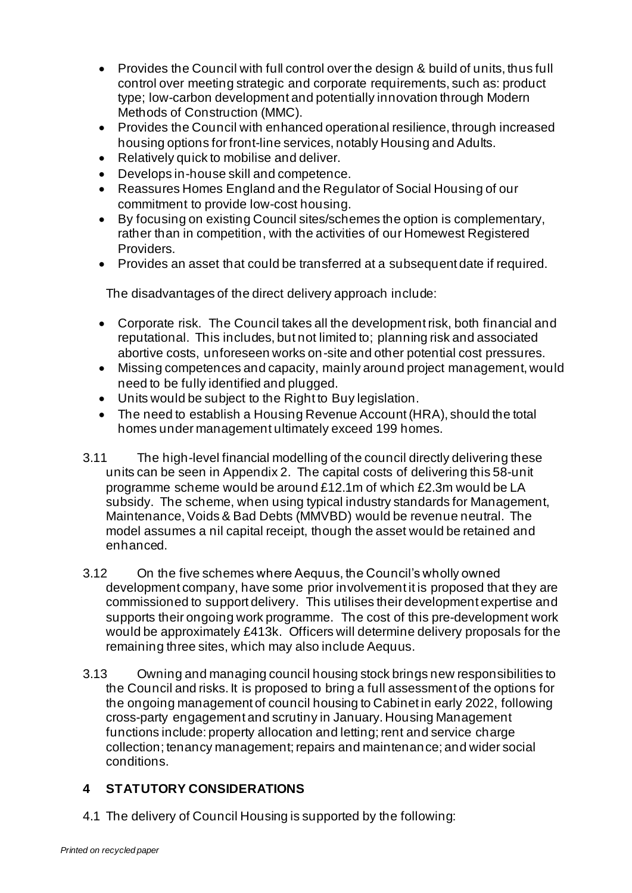- Provides the Council with full control over the design & build of units, thus full control over meeting strategic and corporate requirements, such as: product type; low-carbon development and potentially innovation through Modern Methods of Construction (MMC).
- Provides the Council with enhanced operational resilience, through increased housing options for front-line services, notably Housing and Adults.
- Relatively quick to mobilise and deliver.
- Develops in-house skill and competence.
- Reassures Homes England and the Regulator of Social Housing of our commitment to provide low-cost housing.
- By focusing on existing Council sites/schemes the option is complementary, rather than in competition, with the activities of our Homewest Registered Providers.
- Provides an asset that could be transferred at a subsequent date if required.

The disadvantages of the direct delivery approach include:

- Corporate risk. The Council takes all the development risk, both financial and reputational. This includes, but not limited to; planning risk and associated abortive costs, unforeseen works on-site and other potential cost pressures.
- Missing competences and capacity, mainly around project management, would need to be fully identified and plugged.
- Units would be subject to the Right to Buy legislation.
- The need to establish a Housing Revenue Account (HRA), should the total homes under management ultimately exceed 199 homes.
- 3.11 The high-level financial modelling of the council directly delivering these units can be seen in Appendix 2. The capital costs of delivering this 58-unit programme scheme would be around £12.1m of which £2.3m would be LA subsidy. The scheme, when using typical industry standards for Management, Maintenance, Voids & Bad Debts (MMVBD) would be revenue neutral. The model assumes a nil capital receipt, though the asset would be retained and enhanced.
- 3.12 On the five schemes where Aequus, the Council's wholly owned development company, have some prior involvement it is proposed that they are commissioned to support delivery. This utilises their development expertise and supports their ongoing work programme. The cost of this pre-development work would be approximately £413k. Officers will determine delivery proposals for the remaining three sites, which may also include Aequus.
- 3.13 Owning and managing council housing stock brings new responsibilities to the Council and risks. It is proposed to bring a full assessment of the options for the ongoing management of council housing to Cabinet in early 2022, following cross-party engagement and scrutiny in January. Housing Management functions include: property allocation and letting; rent and service charge collection; tenancy management; repairs and maintenance; and wider social conditions.

# **4 STATUTORY CONSIDERATIONS**

4.1 The delivery of Council Housing is supported by the following: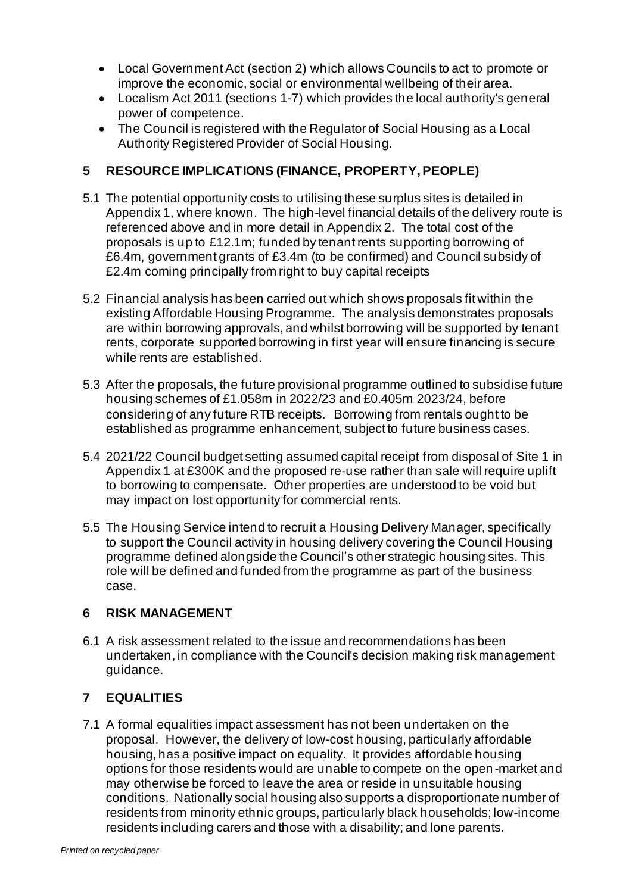- Local Government Act (section 2) which allows Councils to act to promote or improve the economic, social or environmental wellbeing of their area.
- Localism Act 2011 (sections 1-7) which provides the local authority's general power of competence.
- The Council is registered with the Regulator of Social Housing as a Local Authority Registered Provider of Social Housing.

### **5 RESOURCE IMPLICATIONS (FINANCE, PROPERTY, PEOPLE)**

- 5.1 The potential opportunity costs to utilising these surplus sites is detailed in Appendix 1, where known. The high-level financial details of the delivery route is referenced above and in more detail in Appendix 2. The total cost of the proposals is up to £12.1m; funded by tenant rents supporting borrowing of £6.4m, government grants of £3.4m (to be confirmed) and Council subsidy of £2.4m coming principally from right to buy capital receipts
- 5.2 Financial analysis has been carried out which shows proposals fit within the existing Affordable Housing Programme. The analysis demonstrates proposals are within borrowing approvals, and whilst borrowing will be supported by tenant rents, corporate supported borrowing in first year will ensure financing is secure while rents are established.
- 5.3 After the proposals, the future provisional programme outlined to subsidise future housing schemes of £1.058m in 2022/23 and £0.405m 2023/24, before considering of any future RTB receipts. Borrowing from rentals ought to be established as programme enhancement, subject to future business cases.
- 5.4 2021/22 Council budget setting assumed capital receipt from disposal of Site 1 in Appendix 1 at £300K and the proposed re-use rather than sale will require uplift to borrowing to compensate. Other properties are understood to be void but may impact on lost opportunity for commercial rents.
- 5.5 The Housing Service intend to recruit a Housing Delivery Manager, specifically to support the Council activity in housing delivery covering the Council Housing programme defined alongside the Council's other strategic housing sites. This role will be defined and funded from the programme as part of the business case.

#### **6 RISK MANAGEMENT**

6.1 A risk assessment related to the issue and recommendations has been undertaken, in compliance with the Council's decision making risk management guidance.

## **7 EQUALITIES**

7.1 A formal equalities impact assessment has not been undertaken on the proposal. However, the delivery of low-cost housing, particularly affordable housing, has a positive impact on equality. It provides affordable housing options for those residents would are unable to compete on the open-market and may otherwise be forced to leave the area or reside in unsuitable housing conditions. Nationally social housing also supports a disproportionate number of residents from minority ethnic groups, particularly black households; low-income residents including carers and those with a disability; and lone parents.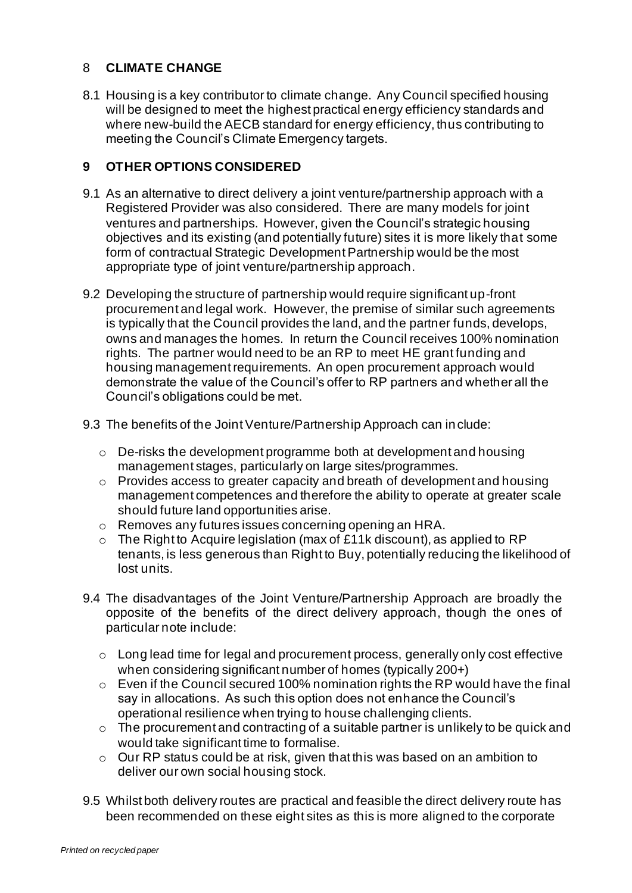#### 8 **CLIMATE CHANGE**

8.1 Housing is a key contributor to climate change. Any Council specified housing will be designed to meet the highest practical energy efficiency standards and where new-build the AECB standard for energy efficiency, thus contributing to meeting the Council's Climate Emergency targets.

#### **9 OTHER OPTIONS CONSIDERED**

- 9.1 As an alternative to direct delivery a joint venture/partnership approach with a Registered Provider was also considered. There are many models for joint ventures and partnerships. However, given the Council's strategic housing objectives and its existing (and potentially future) sites it is more likely that some form of contractual Strategic Development Partnership would be the most appropriate type of joint venture/partnership approach.
- 9.2 Developing the structure of partnership would require significant up-front procurement and legal work. However, the premise of similar such agreements is typically that the Council provides the land, and the partner funds, develops, owns and manages the homes. In return the Council receives 100% nomination rights. The partner would need to be an RP to meet HE grant funding and housing management requirements. An open procurement approach would demonstrate the value of the Council's offer to RP partners and whether all the Council's obligations could be met.
- 9.3 The benefits of the Joint Venture/Partnership Approach can include:
	- $\circ$  De-risks the development programme both at development and housing management stages, particularly on large sites/programmes.
	- o Provides access to greater capacity and breath of development and housing management competences and therefore the ability to operate at greater scale should future land opportunities arise.
	- o Removes any futures issues concerning opening an HRA.
	- o The Right to Acquire legislation (max of £11k discount), as applied to RP tenants, is less generous than Right to Buy, potentially reducing the likelihood of lost units.
- 9.4 The disadvantages of the Joint Venture/Partnership Approach are broadly the opposite of the benefits of the direct delivery approach, though the ones of particular note include:
	- o Long lead time for legal and procurement process, generally only cost effective when considering significant number of homes (typically 200+)
	- $\circ$  Even if the Council secured 100% nomination rights the RP would have the final say in allocations. As such this option does not enhance the Council's operational resilience when trying to house challenging clients.
	- $\circ$  The procurement and contracting of a suitable partner is unlikely to be quick and would take significant time to formalise.
	- o Our RP status could be at risk, given that this was based on an ambition to deliver our own social housing stock.
- 9.5 Whilst both delivery routes are practical and feasible the direct delivery route has been recommended on these eight sites as this is more aligned to the corporate